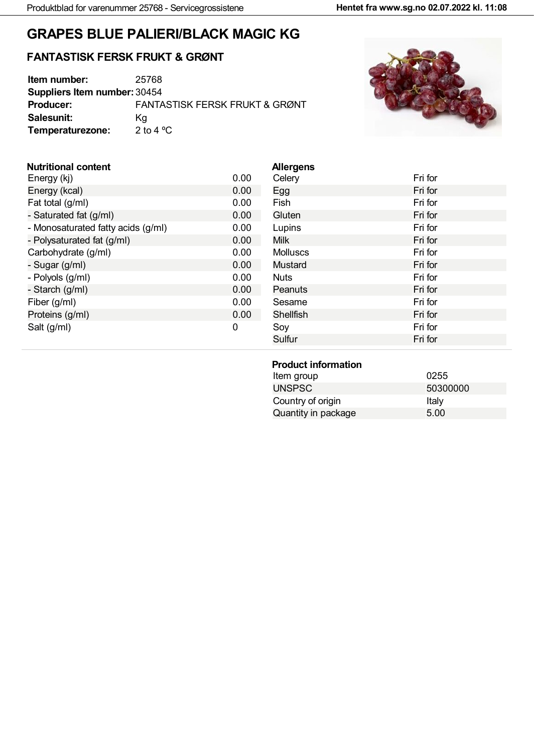# **GRAPES BLUE PALIERI/BLACK MAGIC KG**

### **FANTASTISK FERSK FRUKT & GRØNT**

| Item number:                        | 25768                                     |
|-------------------------------------|-------------------------------------------|
| <b>Suppliers Item number: 30454</b> |                                           |
| <b>Producer:</b>                    | <b>FANTASTISK FERSK FRUKT &amp; GRØNT</b> |
| Salesunit:                          | Ka                                        |
| Temperaturezone:                    | 2 to 4 $^{\circ}$ C                       |



### **Nutritional content**

| Energy (kj)                        | 0.00 |
|------------------------------------|------|
| Energy (kcal)                      | 0.00 |
| Fat total (g/ml)                   | 0.00 |
| - Saturated fat (g/ml)             | 0.00 |
| - Monosaturated fatty acids (g/ml) | 0.00 |
| - Polysaturated fat (g/ml)         | 0.00 |
| Carbohydrate (g/ml)                | 0.00 |
| - Sugar (g/ml)                     | 0.00 |
| - Polyols (g/ml)                   | 0.00 |
| - Starch (g/ml)                    | 0.00 |
| Fiber (g/ml)                       | 0.00 |
| Proteins (g/ml)                    | 0.00 |
| Salt (g/ml)                        | O    |
|                                    |      |

| <b>Allergens</b> |         |
|------------------|---------|
| Celery           | Fri for |
| Egg              | Fri for |
| Fish             | Fri for |
| Gluten           | Fri for |
| Lupins           | Fri for |
| <b>Milk</b>      | Fri for |
| <b>Molluscs</b>  | Fri for |
| <b>Mustard</b>   | Fri for |
| <b>Nuts</b>      | Fri for |
| Peanuts          | Fri for |
| Sesame           | Fri for |
| Shellfish        | Fri for |
| Soy              | Fri for |
| Sulfur           | Fri for |
|                  |         |

#### **Product information**

| Item group          | 0255     |
|---------------------|----------|
| <b>UNSPSC</b>       | 50300000 |
| Country of origin   | Italv    |
| Quantity in package | 5.00     |